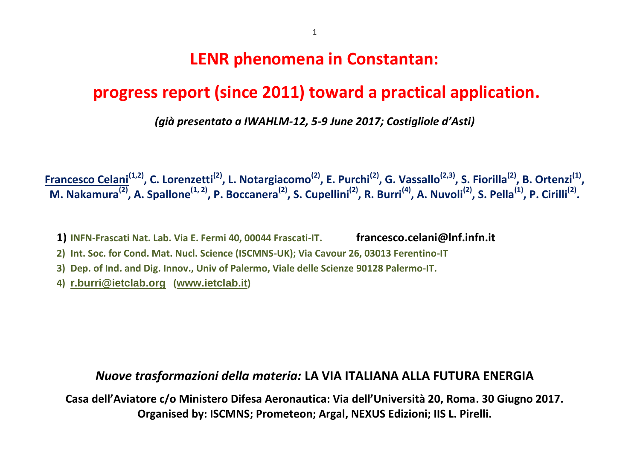# **LENR phenomena in Constantan:**

# **progress report (since 2011) toward a practical application.**

*(già presentato a IWAHLM-12, 5-9 June 2017; Costigliole d'Asti)*

<u>Francesco Celani<sup>(1,2)</sup>,</u> C. Lorenzetti<sup>(2)</sup>, L. Notargiacomo<sup>(2)</sup>, E. Purchi<sup>(2)</sup>, G. Vassallo<sup>(2,3)</sup>, S. Fiorilla<sup>(2)</sup>, B. Ortenzi<sup>(1)</sup>, M. Nakamura<sup>(2)</sup>, A. Spallone<sup>(1, 2)</sup>, P. Boccanera<sup>(2)</sup>, S. Cupellini<sup>(2)</sup>, R. Burri<sup>(4)</sup>, A. Nuvoli<sup>(2)</sup>, S. Pella<sup>(1)</sup>, P. Cirilli<sup>(2)</sup>.

- **1) INFN-Frascati Nat. Lab. Via E. Fermi 40, 00044 Frascati-IT. francesco.celani@lnf.infn.it**
- **2) Int. Soc. for Cond. Mat. Nucl. Science (ISCMNS-UK); Via Cavour 26, 03013 Ferentino-IT**
- **3) Dep. of Ind. and Dig. Innov., Univ of Palermo, Viale delle Scienze 90128 Palermo-IT.**
- **4) [r.burri@ietclab.org](mailto:r.burri@ietclab.org) ([www.ietclab.it](http://www.ietclab.it/))**

#### *Nuove trasformazioni della materia:* **LA VIA ITALIANA ALLA FUTURA ENERGIA**

**Casa dell'Aviatore c/o Ministero Difesa Aeronautica: Via dell'Università 20, Roma. 30 Giugno 2017. Organised by: ISCMNS; Prometeon; Argal, NEXUS Edizioni; IIS L. Pirelli.**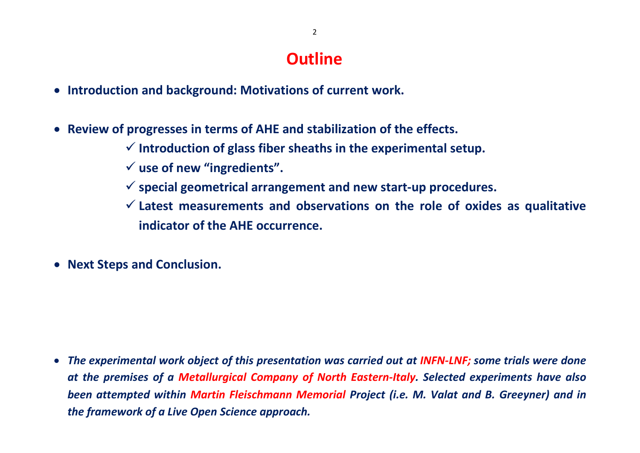# **Outline**

- **Introduction and background: Motivations of current work.**
- **Review of progresses in terms of AHE and stabilization of the effects.** 
	- **Introduction of glass fiber sheaths in the experimental setup.**
	- **use of new "ingredients".**
	- **special geometrical arrangement and new start-up procedures.**
	- **Latest measurements and observations on the role of oxides as qualitative indicator of the AHE occurrence.**
- **Next Steps and Conclusion.**

 *The experimental work object of this presentation was carried out at INFN-LNF; some trials were done at the premises of a Metallurgical Company of North Eastern-Italy. Selected experiments have also been attempted within Martin Fleischmann Memorial Project (i.e. M. Valat and B. Greeyner) and in the framework of a Live Open Science approach.*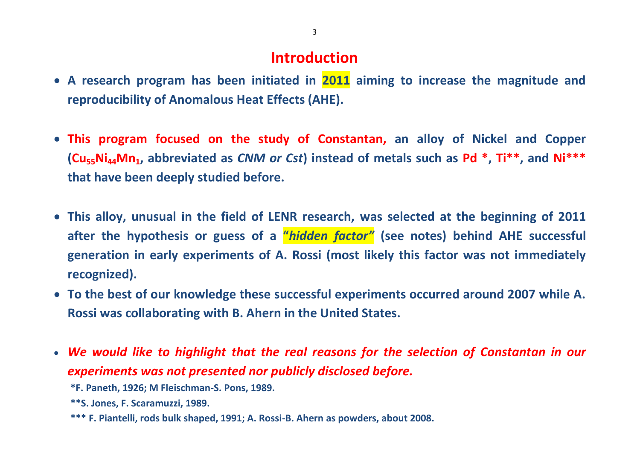# **Introduction**

- **A research program has been initiated in 2011 aiming to increase the magnitude and reproducibility of Anomalous Heat Effects (AHE).**
- **This program focused on the study of Constantan, an alloy of Nickel and Copper (Cu55Ni44Mn1, abbreviated as** *CNM or Cst***) instead of metals such as Pd \* , Ti\*\* , and Ni\*\*\* that have been deeply studied before.**
- **This alloy, unusual in the field of LENR research, was selected at the beginning of 2011 after the hypothesis or guess of a "***hidden factor"* **(see notes) behind AHE successful generation in early experiments of A. Rossi (most likely this factor was not immediately recognized).**
- **To the best of our knowledge these successful experiments occurred around 2007 while A. Rossi was collaborating with B. Ahern in the United States.**
- *We would like to highlight that the real reasons for the selection of Constantan in our experiments was not presented nor publicly disclosed before.*
	- **\*F. Paneth, 1926; M Fleischman-S. Pons, 1989.**
	- **\*\*S. Jones, F. Scaramuzzi, 1989.**
	- **\*\*\* F. Piantelli, rods bulk shaped, 1991; A. Rossi-B. Ahern as powders, about 2008.**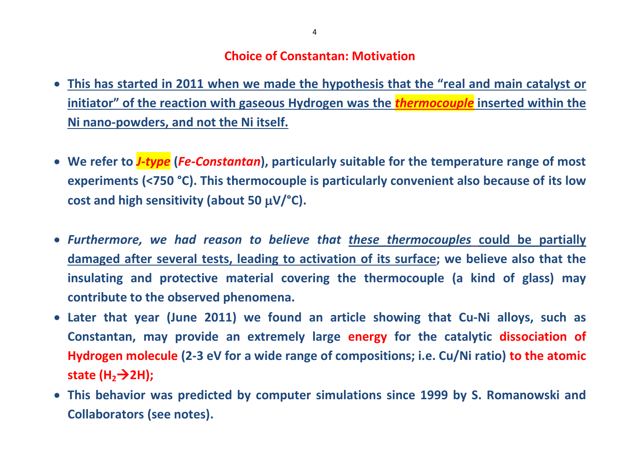### **Choice of Constantan: Motivation**

- **This has started in 2011 when we made the hypothesis that the "real and main catalyst or initiator" of the reaction with gaseous Hydrogen was the** *thermocouple* **inserted within the Ni nano-powders, and not the Ni itself.**
- **We refer to** *J-type* **(***Fe-Constantan***), particularly suitable for the temperature range of most experiments (<750 °C). This thermocouple is particularly convenient also because of its low**  cost and high sensitivity (about 50  $\mu$ V/ $\textdegree$ C).
- *Furthermore, we had reason to believe that these thermocouples* **could be partially damaged after several tests, leading to activation of its surface; we believe also that the insulating and protective material covering the thermocouple (a kind of glass) may contribute to the observed phenomena.**
- **Later that year (June 2011) we found an article showing that Cu-Ni alloys, such as Constantan, may provide an extremely large energy for the catalytic dissociation of Hydrogen molecule (2-3 eV for a wide range of compositions; i.e. Cu/Ni ratio) to the atomic state (H22H);**
- **This behavior was predicted by computer simulations since 1999 by S. Romanowski and Collaborators (see notes).**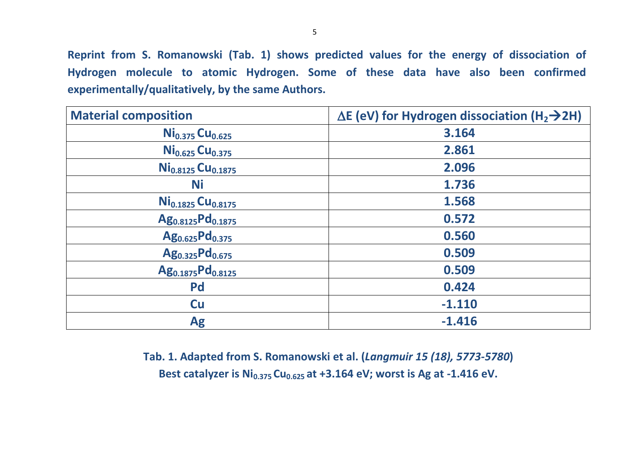**Reprint from S. Romanowski (Tab. 1) shows predicted values for the energy of dissociation of Hydrogen molecule to atomic Hydrogen. Some of these data have also been confirmed experimentally/qualitatively, by the same Authors.**

| <b>Material composition</b>               | $\Delta$ E (eV) for Hydrogen dissociation (H <sub>2</sub> $\rightarrow$ 2H) |
|-------------------------------------------|-----------------------------------------------------------------------------|
| Ni <sub>0.375</sub> Cu <sub>0.625</sub>   | 3.164                                                                       |
| Ni <sub>0.625</sub> Cu <sub>0.375</sub>   | 2.861                                                                       |
| Ni <sub>0.8125</sub> Cu <sub>0.1875</sub> | 2.096                                                                       |
| <b>Ni</b>                                 | 1.736                                                                       |
| $Ni0.1825 Cu0.8175$                       | 1.568                                                                       |
| Ag <sub>0.8125</sub> Pd <sub>0.1875</sub> | 0.572                                                                       |
| Ag <sub>0.625</sub> Pd <sub>0.375</sub>   | 0.560                                                                       |
| Ag <sub>0.325</sub> Pd <sub>0.675</sub>   | 0.509                                                                       |
| Ag <sub>0.1875</sub> Pd <sub>0.8125</sub> | 0.509                                                                       |
| <b>Pd</b>                                 | 0.424                                                                       |
| <b>Cu</b>                                 | $-1.110$                                                                    |
| <b>Ag</b>                                 | $-1.416$                                                                    |

**Tab. 1. Adapted from S. Romanowski et al. (***Langmuir 15 (18), 5773-5780***) Best catalyzer is Ni0.375 Cu0.625 at +3.164 eV; worst is Ag at -1.416 eV.**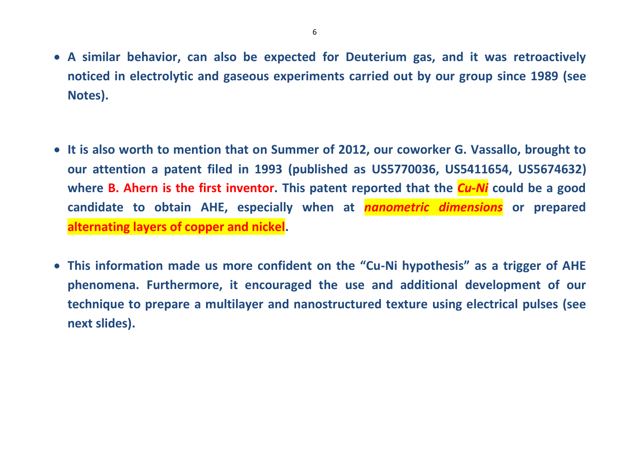- **A similar behavior, can also be expected for Deuterium gas, and it was retroactively noticed in electrolytic and gaseous experiments carried out by our group since 1989 (see Notes).**
- **It is also worth to mention that on Summer of 2012, our coworker G. Vassallo, brought to our attention a patent filed in 1993 (published as US5770036, [US5411654,](http://www.google.com/patents/US5411654) [US5674632\)](http://www.google.com/patents/US5674632) where B. Ahern is the first inventor. This patent reported that the** *Cu-Ni* **could be a good candidate to obtain AHE, especially when at** *nanometric dimensions* **or prepared alternating layers of copper and nickel.**
- **This information made us more confident on the "Cu-Ni hypothesis" as a trigger of AHE phenomena. Furthermore, it encouraged the use and additional development of our technique to prepare a multilayer and nanostructured texture using electrical pulses (see next slides).**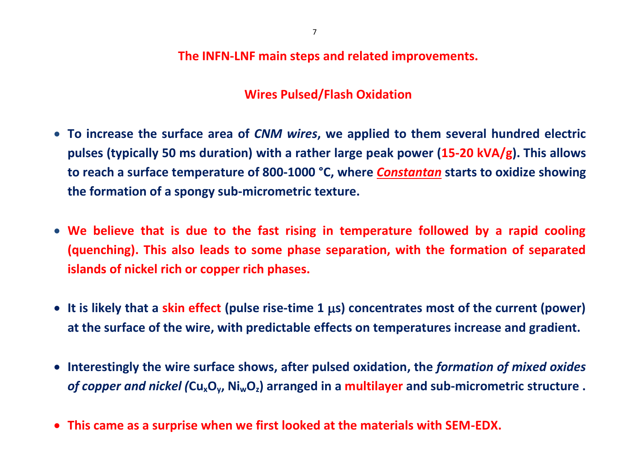**The INFN-LNF main steps and related improvements.**

## **Wires Pulsed/Flash Oxidation**

- **To increase the surface area of** *CNM wires***, we applied to them several hundred electric pulses (typically 50 ms duration) with a rather large peak power (15-20 kVA/g). This allows to reach a surface temperature of 800-1000 °C, where** *Constantan* **starts to oxidize showing the formation of a spongy sub-micrometric texture.**
- **We believe that is due to the fast rising in temperature followed by a rapid cooling (quenching). This also leads to some phase separation, with the formation of separated islands of nickel rich or copper rich phases.**
- **It is likely that a skin effect (pulse rise-time 1 s) concentrates most of the current (power) at the surface of the wire, with predictable effects on temperatures increase and gradient.**
- **Interestingly the wire surface shows, after pulsed oxidation, the** *formation of mixed oxides of copper and nickel (***CuxOy, NiwOz) arranged in a multilayer and sub-micrometric structure .**
- **This came as a surprise when we first looked at the materials with SEM-EDX.**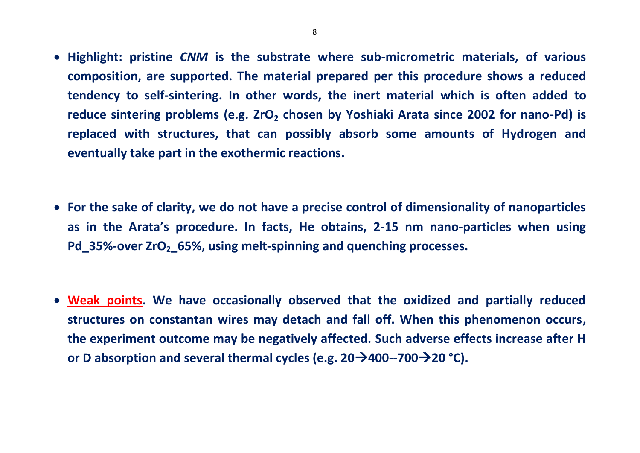- **Highlight: pristine** *CNM* **is the substrate where sub-micrometric materials, of various composition, are supported. The material prepared per this procedure shows a reduced tendency to self-sintering. In other words, the inert material which is often added to reduce sintering problems (e.g. ZrO<sup>2</sup> chosen by Yoshiaki Arata since 2002 for nano-Pd) is replaced with structures, that can possibly absorb some amounts of Hydrogen and eventually take part in the exothermic reactions.**
- **For the sake of clarity, we do not have a precise control of dimensionality of nanoparticles as in the Arata's procedure. In facts, He obtains, 2-15 nm nano-particles when using Pd\_35%-over ZrO2\_65%, using melt-spinning and quenching processes.**
- **Weak points. We have occasionally observed that the oxidized and partially reduced structures on constantan wires may detach and fall off. When this phenomenon occurs, the experiment outcome may be negatively affected. Such adverse effects increase after H or D absorption and several thermal cycles (e.g. 20400--70020 °C).**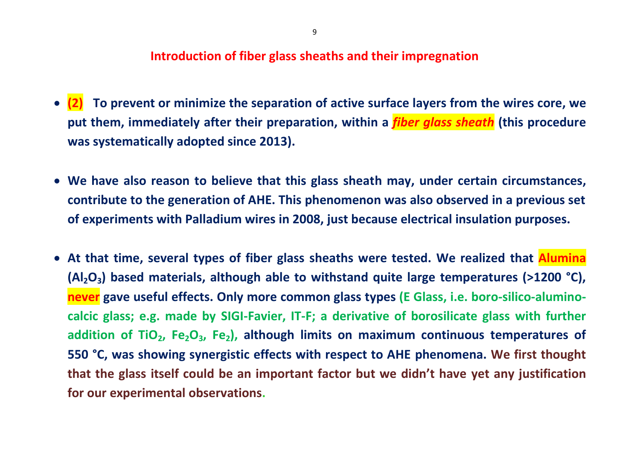#### **Introduction of fiber glass sheaths and their impregnation**

- **(2) To prevent or minimize the separation of active surface layers from the wires core, we put them, immediately after their preparation, within a** *fiber glass sheath* **(this procedure was systematically adopted since 2013).**
- **We have also reason to believe that this glass sheath may, under certain circumstances, contribute to the generation of AHE. This phenomenon was also observed in a previous set of experiments with Palladium wires in 2008, just because electrical insulation purposes.**
- **At that time, several types of fiber glass sheaths were tested. We realized that Alumina (Al2O3) based materials, although able to withstand quite large temperatures (>1200 °C), never gave useful effects. Only more common glass types (E Glass, i.e. boro-silico-aluminocalcic glass; e.g. made by SIGI-Favier, IT-F; a derivative of borosilicate glass with further addition of TiO2, Fe2O3, Fe2), although limits on maximum continuous temperatures of 550 °C, was showing synergistic effects with respect to AHE phenomena. We first thought that the glass itself could be an important factor but we didn't have yet any justification for our experimental observations.**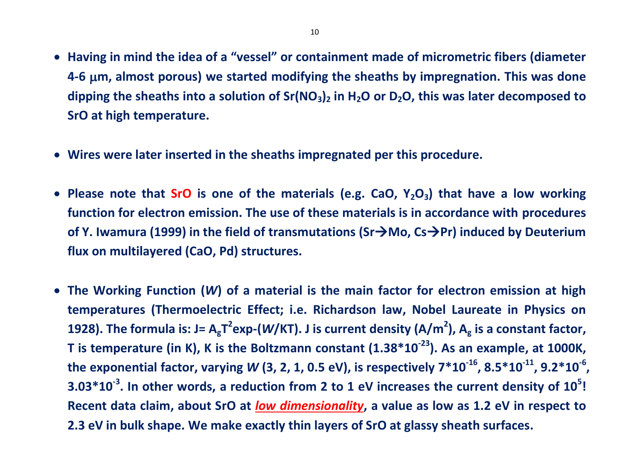- **Having in mind the idea of a "vessel" or containment made of micrometric fibers (diameter 4-6 m, almost porous) we started modifying the sheaths by impregnation. This was done dipping the sheaths into a solution of Sr(NO3)<sup>2</sup> in H2O or D2O, this was later decomposed to SrO at high temperature.**
- **Wires were later inserted in the sheaths impregnated per this procedure.**
- **Please note that SrO is one of the materials (e.g. CaO, Y2O3) that have a low working function for electron emission. The use of these materials is in accordance with procedures of Y. Iwamura (1999) in the field of transmutations (Sr→Mo, Cs→Pr) induced by Deuterium flux on multilayered (CaO, Pd) structures.**
- **The Working Function (***W***) of a material is the main factor for electron emission at high temperatures (Thermoelectric Effect; i.e. Richardson law, Nobel Laureate in Physics on 1928). The formula is: J= AgT 2 exp-(***W***/KT). J is current density (A/m<sup>2</sup> ), A<sup>g</sup> is a constant factor, T is temperature (in K), K is the Boltzmann constant (1.38\*10-23). As an example, at 1000K, the exponential factor, varying** *W* **(3, 2, 1, 0.5 eV), is respectively 7\*10-16, 8.5\*10-11, 9.2\*10-6 , 3.03\*10-3 . In other words, a reduction from 2 to 1 eV increases the current density of 10<sup>5</sup> ! Recent data claim, about SrO at** *low dimensionality***, a value as low as 1.2 eV in respect to 2.3 eV in bulk shape. We make exactly thin layers of SrO at glassy sheath surfaces.**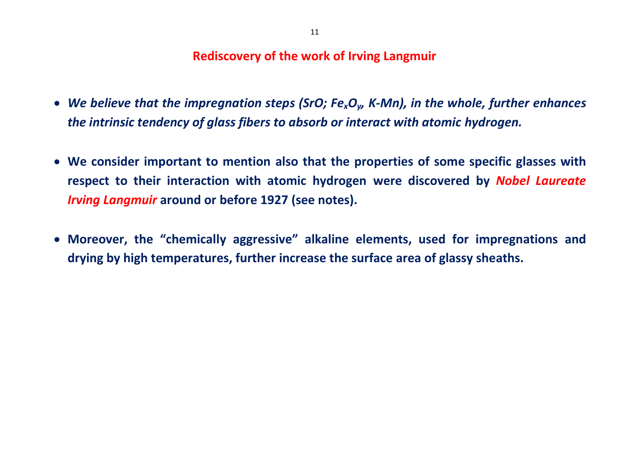#### **Rediscovery of the work of Irving Langmuir**

- *We believe that the impregnation steps (SrO; FexOy, K-Mn), in the whole, further enhances the intrinsic tendency of glass fibers to absorb or interact with atomic hydrogen.*
- **We consider important to mention also that the properties of some specific glasses with respect to their interaction with atomic hydrogen were discovered by** *Nobel Laureate Irving Langmuir* **around or before 1927 (see notes).**
- **Moreover, the "chemically aggressive" alkaline elements, used for impregnations and drying by high temperatures, further increase the surface area of glassy sheaths.**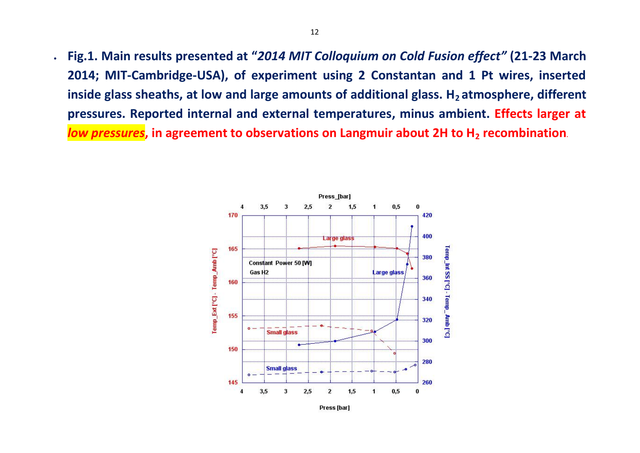**Fig.1. Main results presented at "***2014 MIT Colloquium on Cold Fusion effect"* **(21-23 March 2014; MIT-Cambridge-USA), of experiment using 2 Constantan and 1 Pt wires, inserted inside glass sheaths, at low and large amounts of additional glass. H2 atmosphere, different pressures. Reported internal and external temperatures, minus ambient. Effects larger at**  *low pressures***, in agreement to observations on Langmuir about 2H to H<sub>2</sub> recombination.** 

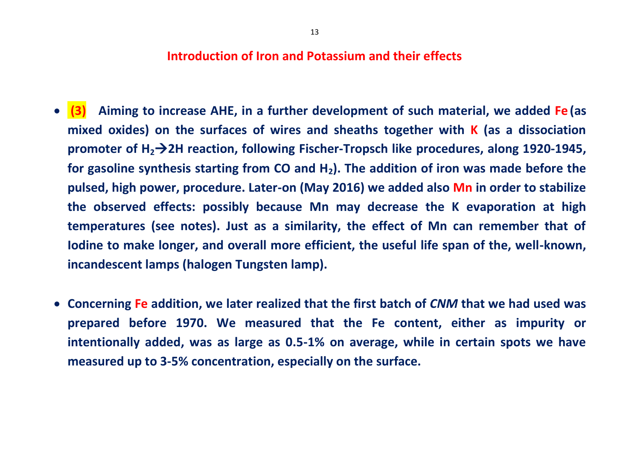#### **Introduction of Iron and Potassium and their effects**

- **(3) Aiming to increase AHE, in a further development of such material, we added Fe (as mixed oxides) on the surfaces of wires and sheaths together with K (as a dissociation promoter of H22H reaction, following Fischer-Tropsch like procedures, along 1920-1945, for gasoline synthesis starting from CO and H2). The addition of iron was made before the pulsed, high power, procedure. Later-on (May 2016) we added also Mn in order to stabilize the observed effects: possibly because Mn may decrease the K evaporation at high temperatures (see notes). Just as a similarity, the effect of Mn can remember that of Iodine to make longer, and overall more efficient, the useful life span of the, well-known, incandescent lamps (halogen Tungsten lamp).**
- **Concerning Fe addition, we later realized that the first batch of** *CNM* **that we had used was prepared before 1970. We measured that the Fe content, either as impurity or intentionally added, was as large as 0.5-1% on average, while in certain spots we have measured up to 3-5% concentration, especially on the surface.**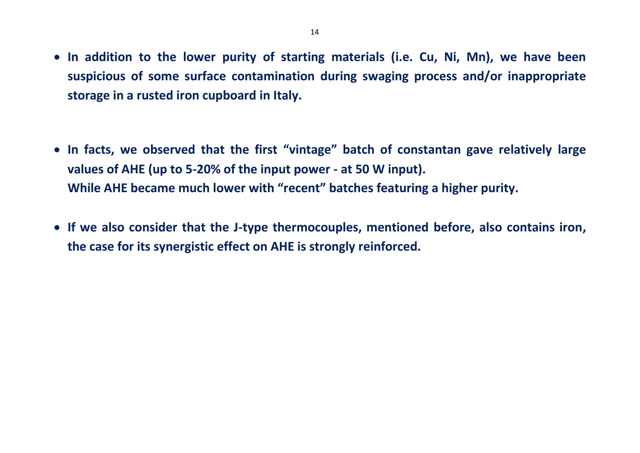- **In addition to the lower purity of starting materials (i.e. Cu, Ni, Mn), we have been suspicious of some surface contamination during swaging process and/or inappropriate storage in a rusted iron cupboard in Italy.**
- **In facts, we observed that the first "vintage" batch of constantan gave relatively large values of AHE (up to 5-20% of the input power - at 50 W input). While AHE became much lower with "recent" batches featuring a higher purity.**
- **If we also consider that the J-type thermocouples, mentioned before, also contains iron, the case for its synergistic effect on AHE is strongly reinforced.**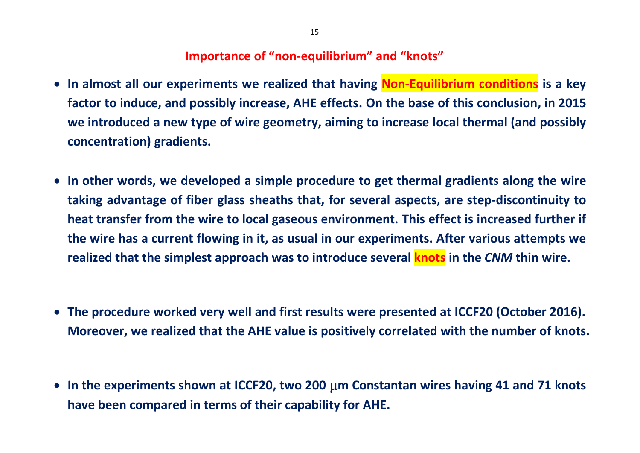#### **Importance of "non-equilibrium" and "knots"**

- **In almost all our experiments we realized that having Non-Equilibrium conditions is a key factor to induce, and possibly increase, AHE effects. On the base of this conclusion, in 2015 we introduced a new type of wire geometry, aiming to increase local thermal (and possibly concentration) gradients.**
- **In other words, we developed a simple procedure to get thermal gradients along the wire taking advantage of fiber glass sheaths that, for several aspects, are step-discontinuity to heat transfer from the wire to local gaseous environment. This effect is increased further if the wire has a current flowing in it, as usual in our experiments. After various attempts we realized that the simplest approach was to introduce several knots in the** *CNM* **thin wire.**
- **The procedure worked very well and first results were presented at ICCF20 (October 2016). Moreover, we realized that the AHE value is positively correlated with the number of knots.**
- **In the experiments shown at ICCF20, two 200 m Constantan wires having 41 and 71 knots have been compared in terms of their capability for AHE.**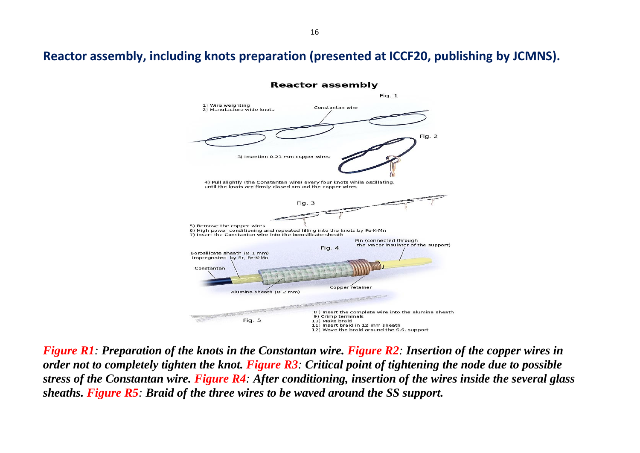### **Reactor assembly, including knots preparation (presented at ICCF20, publishing by JCMNS).**



*Figure R1: Preparation of the knots in the Constantan wire. Figure R2: Insertion of the copper wires in order not to completely tighten the knot. Figure R3: Critical point of tightening the node due to possible stress of the Constantan wire. Figure R4: After conditioning, insertion of the wires inside the several glass sheaths. Figure R5: Braid of the three wires to be waved around the SS support.*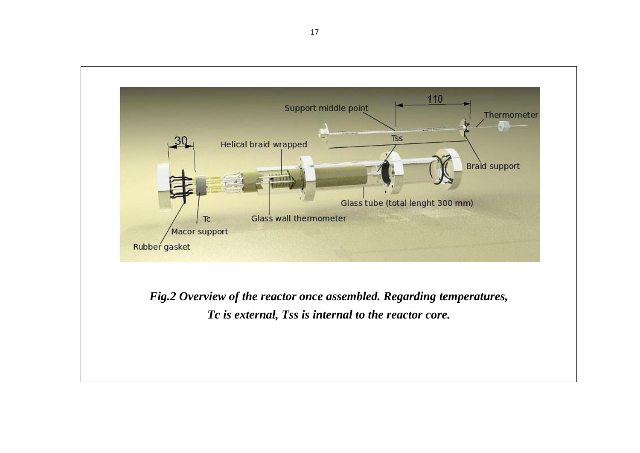

*Fig.2 Overview of the reactor once assembled. Regarding temperatures, Tc is external, Tss is internal to the reactor core.*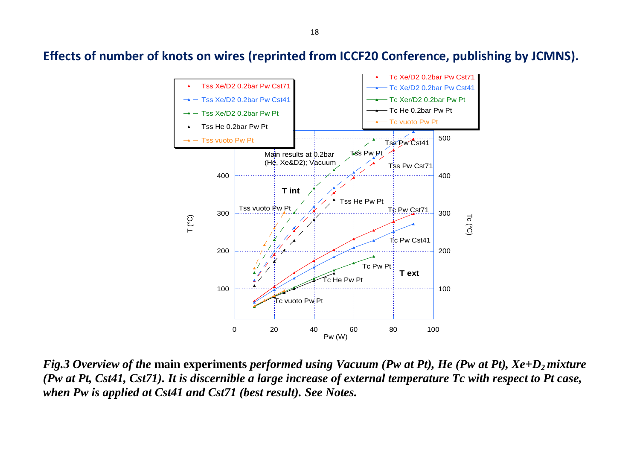**Effects of number of knots on wires (reprinted from ICCF20 Conference, publishing by JCMNS).**



*Fig.3 Overview of the* **main experiments** *performed using Vacuum (Pw at Pt), He (Pw at Pt), Xe+D2 mixture (Pw at Pt, Cst41, Cst71). It is discernible a large increase of external temperature Tc with respect to Pt case, when Pw is applied at Cst41 and Cst71 (best result). See Notes.*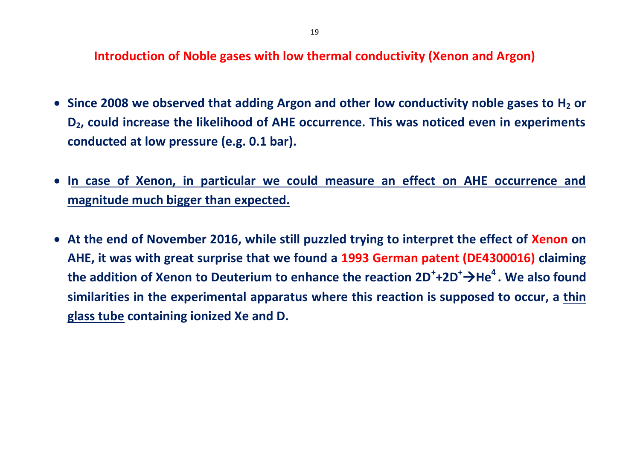**Introduction of Noble gases with low thermal conductivity (Xenon and Argon)**

- **Since 2008 we observed that adding Argon and other low conductivity noble gases to H<sup>2</sup> or D2, could increase the likelihood of AHE occurrence. This was noticed even in experiments conducted at low pressure (e.g. 0.1 bar).**
- **In case of Xenon, in particular we could measure an effect on AHE occurrence and magnitude much bigger than expected.**
- **At the end of November 2016, while still puzzled trying to interpret the effect of Xenon on AHE, it was with great surprise that we found a 1993 German patent (DE4300016) claiming the addition of Xenon to Deuterium to enhance the reaction 2D<sup>+</sup> +2D<sup>+</sup>He<sup>4</sup> . We also found similarities in the experimental apparatus where this reaction is supposed to occur, a thin glass tube containing ionized Xe and D.**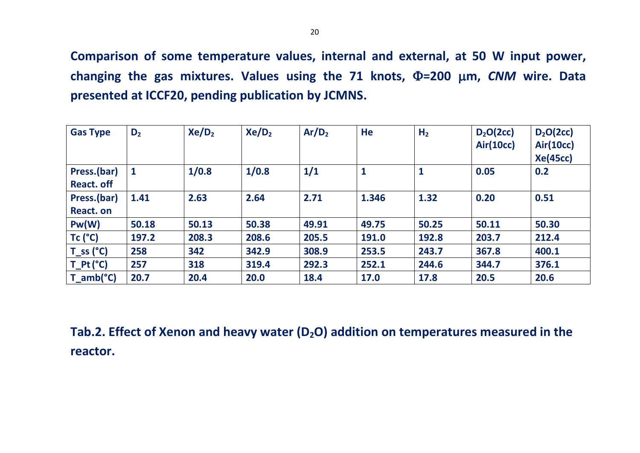**Comparison of some temperature values, internal and external, at 50 W input power, changing the gas mixtures. Values using the 71 knots, Φ=200 μm, CNM wire. Data presented at ICCF20, pending publication by JCMNS.**

| <b>Gas Type</b>                  | $D_2$ | Xe/D <sub>2</sub> | Xe/D <sub>2</sub> | Ar/D <sub>2</sub> | He           | H <sub>2</sub> | $D_2O(2cc)$<br><b>Air(10cc)</b> | $D_2O(2cc)$<br><b>Air(10cc)</b><br><b>Xe(45cc)</b> |
|----------------------------------|-------|-------------------|-------------------|-------------------|--------------|----------------|---------------------------------|----------------------------------------------------|
| Press.(bar)<br><b>React. off</b> |       | 1/0.8             | 1/0.8             | 1/1               | $\mathbf{1}$ | $\mathbf{1}$   | 0.05                            | 0.2                                                |
| Press.(bar)<br>React. on         | 1.41  | 2.63              | 2.64              | 2.71              | 1.346        | 1.32           | 0.20                            | 0.51                                               |
| Pw(W)                            | 50.18 | 50.13             | 50.38             | 49.91             | 49.75        | 50.25          | 50.11                           | 50.30                                              |
| $Tc$ ( $^{\circ}C$ )             | 197.2 | 208.3             | 208.6             | 205.5             | 191.0        | 192.8          | 203.7                           | 212.4                                              |
| $T_s(s^c)$                       | 258   | 342               | 342.9             | 308.9             | 253.5        | 243.7          | 367.8                           | 400.1                                              |
| $T_Pt$ (°C)                      | 257   | 318               | 319.4             | 292.3             | 252.1        | 244.6          | 344.7                           | 376.1                                              |
| $T_{amb}(^{\circ}C)$             | 20.7  | 20.4              | 20.0              | 18.4              | 17.0         | 17.8           | 20.5                            | 20.6                                               |

**Tab.2. Effect of Xenon and heavy water (D2O) addition on temperatures measured in the reactor.**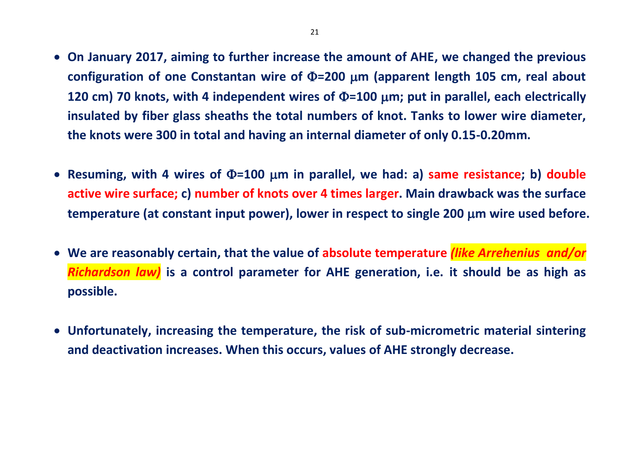- **On January 2017, aiming to further increase the amount of AHE, we changed the previous**  configuration of one Constantan wire of  $\Phi$ =200  $\mu$ m (apparent length 105 cm, real about **120 cm) 70 knots, with 4 independent wires of**  $\Phi$ **=100**  $\mu$ **m; put in parallel, each electrically insulated by fiber glass sheaths the total numbers of knot. Tanks to lower wire diameter, the knots were 300 in total and having an internal diameter of only 0.15-0.20mm.**
- Resuming, with 4 wires of  $\Phi$ =100 µm in parallel, we had: a) same resistance; b) double **active wire surface; c) number of knots over 4 times larger. Main drawback was the surface temperature (at constant input power), lower in respect to single 200 m wire used before.**
- **We are reasonably certain, that the value of absolute temperature** *(like Arrehenius and/or Richardson law)* **is a control parameter for AHE generation, i.e. it should be as high as possible.**
- **Unfortunately, increasing the temperature, the risk of sub-micrometric material sintering and deactivation increases. When this occurs, values of AHE strongly decrease.**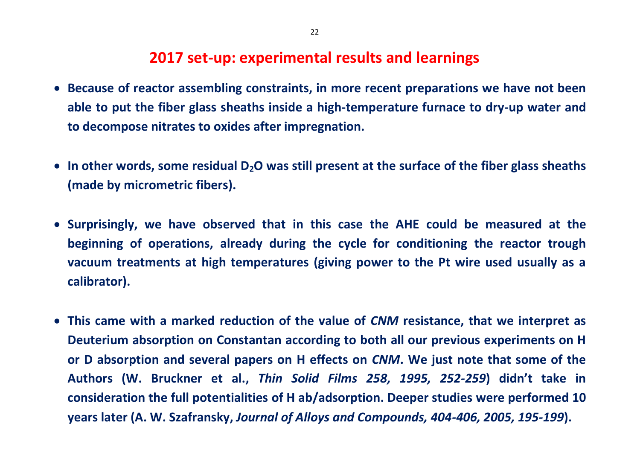## **2017 set-up: experimental results and learnings**

- **Because of reactor assembling constraints, in more recent preparations we have not been able to put the fiber glass sheaths inside a high-temperature furnace to dry-up water and to decompose nitrates to oxides after impregnation.**
- **In other words, some residual D2O was still present at the surface of the fiber glass sheaths (made by micrometric fibers).**
- **Surprisingly, we have observed that in this case the AHE could be measured at the beginning of operations, already during the cycle for conditioning the reactor trough vacuum treatments at high temperatures (giving power to the Pt wire used usually as a calibrator).**
- **This came with a marked reduction of the value of** *CNM* **resistance, that we interpret as Deuterium absorption on Constantan according to both all our previous experiments on H or D absorption and several papers on H effects on** *CNM***. We just note that some of the Authors (W. Bruckner et al.,** *Thin Solid Films 258, 1995, 252-259***) didn't take in consideration the full potentialities of H ab/adsorption. Deeper studies were performed 10 years later (A. W. Szafransky,** *Journal of Alloys and Compounds, 404-406, 2005, 195-199***).**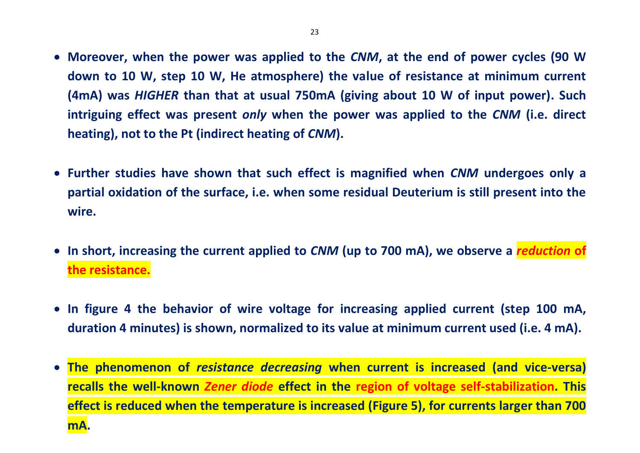- **Moreover, when the power was applied to the** *CNM***, at the end of power cycles (90 W down to 10 W, step 10 W, He atmosphere) the value of resistance at minimum current (4mA) was** *HIGHER* **than that at usual 750mA (giving about 10 W of input power). Such intriguing effect was present** *only* **when the power was applied to the** *CNM* **(i.e. direct heating), not to the Pt (indirect heating of** *CNM***).**
- **Further studies have shown that such effect is magnified when** *CNM* **undergoes only a partial oxidation of the surface, i.e. when some residual Deuterium is still present into the wire.**
- **In short, increasing the current applied to** *CNM* **(up to 700 mA), we observe a** *reduction* **of the resistance.**
- **In figure 4 the behavior of wire voltage for increasing applied current (step 100 mA, duration 4 minutes) is shown, normalized to its value at minimum current used (i.e. 4 mA).**
- **The phenomenon of** *resistance decreasing* **when current is increased (and vice-versa) recalls the well-known** *Zener diode* **effect in the region of voltage self-stabilization. This effect is reduced when the temperature is increased (Figure 5), for currents larger than 700 mA.**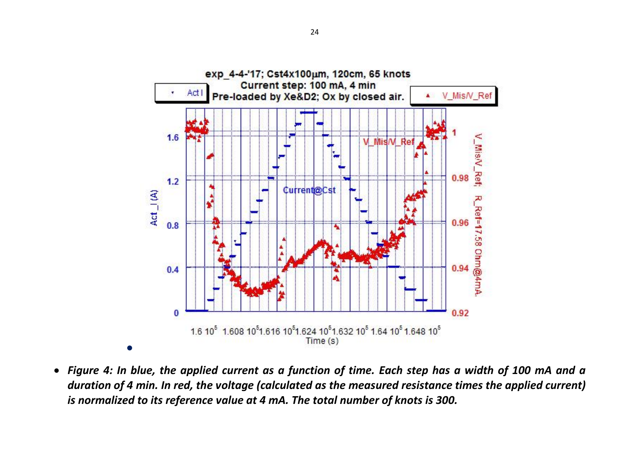

 *Figure 4: In blue, the applied current as a function of time. Each step has a width of 100 mA and a duration of 4 min. In red, the voltage (calculated as the measured resistance times the applied current) is normalized to its reference value at 4 mA. The total number of knots is 300.*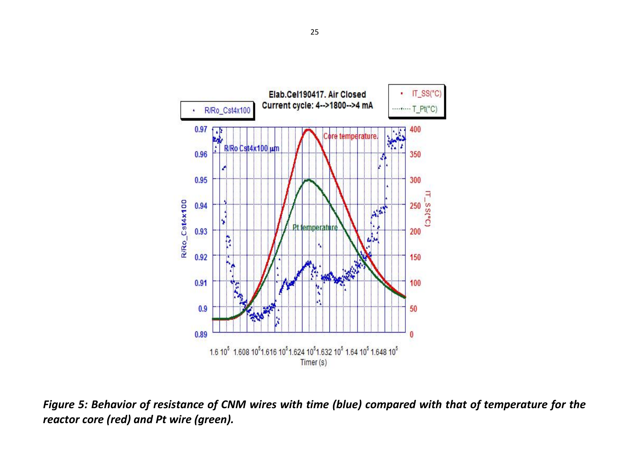

*Figure 5: Behavior of resistance of CNM wires with time (blue) compared with that of temperature for the reactor core (red) and Pt wire (green).*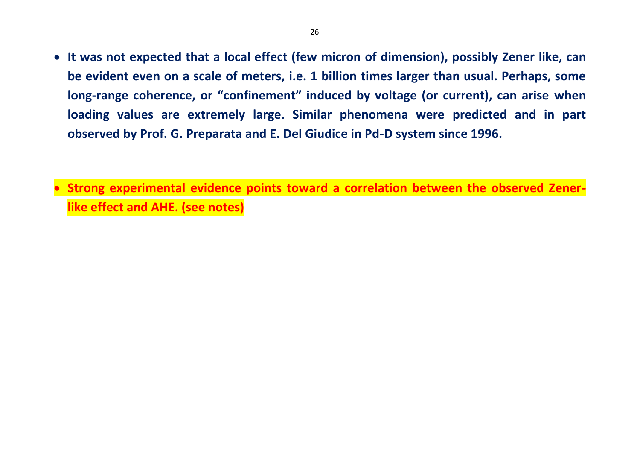- **It was not expected that a local effect (few micron of dimension), possibly Zener like, can be evident even on a scale of meters, i.e. 1 billion times larger than usual. Perhaps, some long-range coherence, or "confinement" induced by voltage (or current), can arise when loading values are extremely large. Similar phenomena were predicted and in part observed by Prof. G. Preparata and E. Del Giudice in Pd-D system since 1996.**
- **Strong experimental evidence points toward a correlation between the observed Zenerlike effect and AHE. (see notes)**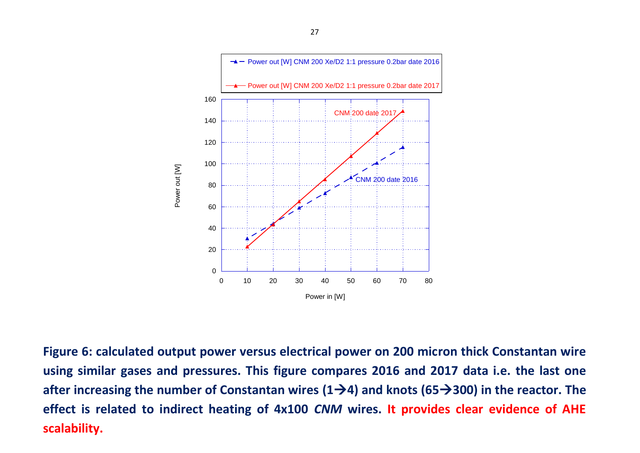

**Figure 6: calculated output power versus electrical power on 200 micron thick Constantan wire using similar gases and pressures. This figure compares 2016 and 2017 data i.e. the last one after increasing the number of Constantan wires (14) and knots (65300) in the reactor. The effect is related to indirect heating of 4x100** *CNM* **wires. It provides clear evidence of AHE scalability.**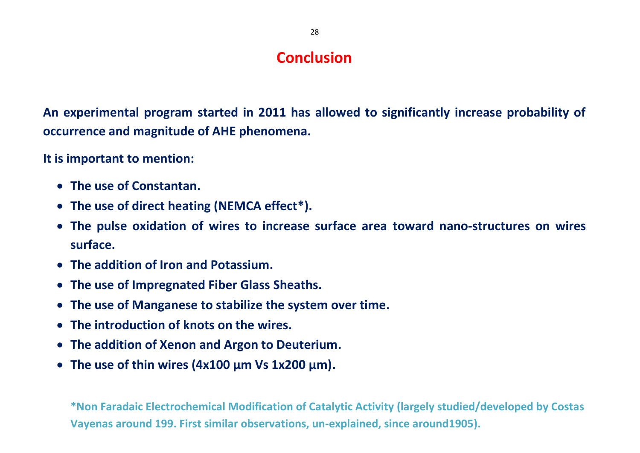# **Conclusion**

**An experimental program started in 2011 has allowed to significantly increase probability of occurrence and magnitude of AHE phenomena.**

**It is important to mention:**

- **The use of Constantan.**
- **The use of direct heating (NEMCA effect\*).**
- **The pulse oxidation of wires to increase surface area toward nano-structures on wires surface.**
- **The addition of Iron and Potassium.**
- **The use of Impregnated Fiber Glass Sheaths.**
- **The use of Manganese to stabilize the system over time.**
- **The introduction of knots on the wires.**
- **The addition of Xenon and Argon to Deuterium.**
- **The use of thin wires (4x100 µm Vs 1x200 µm).**

**\*Non Faradaic Electrochemical Modification of Catalytic Activity (largely studied/developed by Costas Vayenas around 199. First similar observations, un-explained, since around1905).**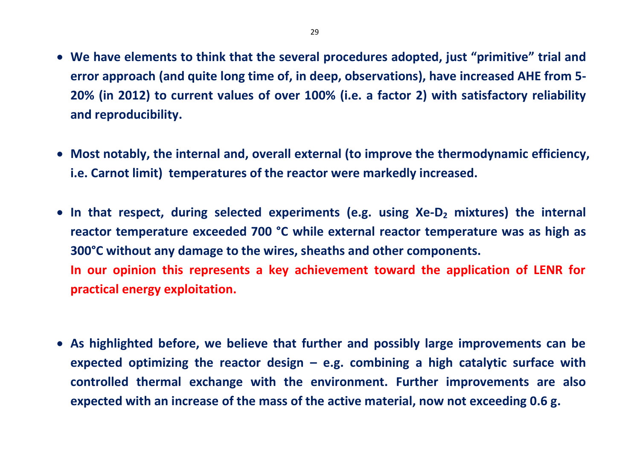- **We have elements to think that the several procedures adopted, just "primitive" trial and error approach (and quite long time of, in deep, observations), have increased AHE from 5- 20% (in 2012) to current values of over 100% (i.e. a factor 2) with satisfactory reliability and reproducibility.**
- **Most notably, the internal and, overall external (to improve the thermodynamic efficiency, i.e. Carnot limit) temperatures of the reactor were markedly increased.**
- **In that respect, during selected experiments (e.g. using Xe-D<sup>2</sup> mixtures) the internal reactor temperature exceeded 700 °C while external reactor temperature was as high as 300°C without any damage to the wires, sheaths and other components. In our opinion this represents a key achievement toward the application of LENR for practical energy exploitation.**
- **As highlighted before, we believe that further and possibly large improvements can be expected optimizing the reactor design – e.g. combining a high catalytic surface with controlled thermal exchange with the environment. Further improvements are also expected with an increase of the mass of the active material, now not exceeding 0.6 g.**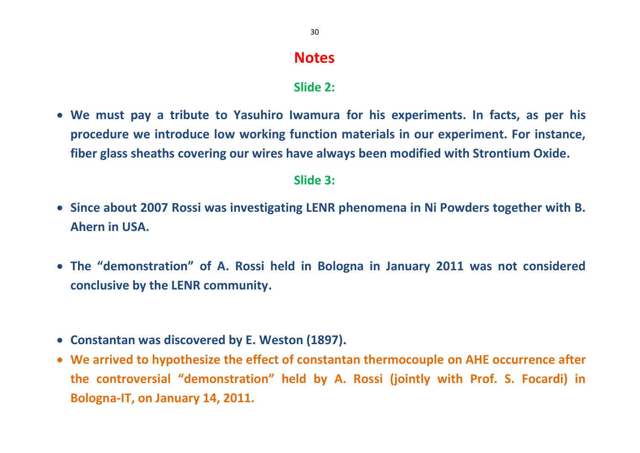# **Notes**

### **Slide 2:**

 **We must pay a tribute to Yasuhiro Iwamura for his experiments. In facts, as per his procedure we introduce low working function materials in our experiment. For instance, fiber glass sheaths covering our wires have always been modified with Strontium Oxide.**

### **Slide 3:**

- **Since about 2007 Rossi was investigating LENR phenomena in Ni Powders together with B. Ahern in USA.**
- **The "demonstration" of A. Rossi held in Bologna in January 2011 was not considered conclusive by the LENR community.**
- **Constantan was discovered by E. Weston (1897).**
- **We arrived to hypothesize the effect of constantan thermocouple on AHE occurrence after the controversial "demonstration" held by A. Rossi (jointly with Prof. S. Focardi) in Bologna-IT, on January 14, 2011.**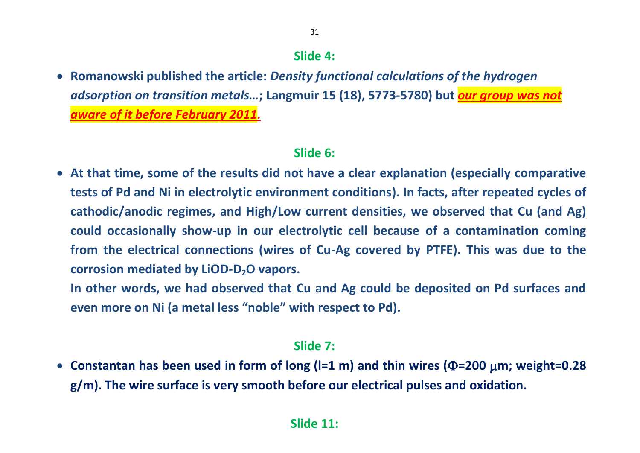## **Slide 4:**

31

 **Romanowski published the article:** *Density functional calculations of the hydrogen adsorption on transition metals…***; Langmuir 15 (18), 5773-5780) but** *our group was not aware of it before February 2011.*

### **Slide 6:**

 **At that time, some of the results did not have a clear explanation (especially comparative tests of Pd and Ni in electrolytic environment conditions). In facts, after repeated cycles of cathodic/anodic regimes, and High/Low current densities, we observed that Cu (and Ag) could occasionally show-up in our electrolytic cell because of a contamination coming from the electrical connections (wires of Cu-Ag covered by PTFE). This was due to the corrosion mediated by LiOD-D2O vapors.** 

**In other words, we had observed that Cu and Ag could be deposited on Pd surfaces and even more on Ni (a metal less "noble" with respect to Pd).**

#### **Slide 7:**

• Constantan has been used in form of long  $(I=1 \text{ m})$  and thin wires  $(\Phi=200 \text{ }\mu\text{m})$ ; weight=0.28 **g/m). The wire surface is very smooth before our electrical pulses and oxidation.**

### **Slide 11:**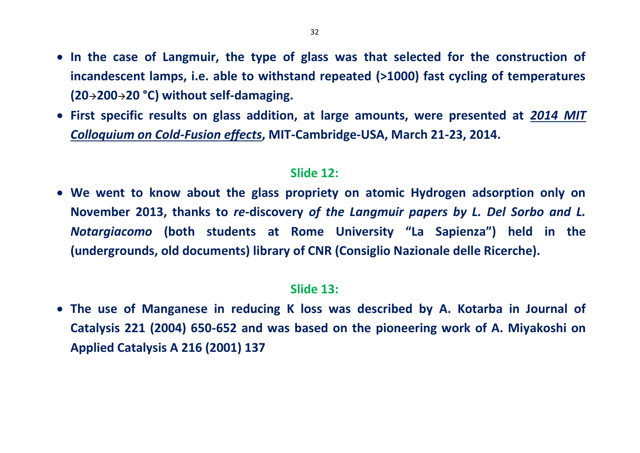- In the case of Langmuir, the type of glass was that selected for the construction of **incandescent lamps, i.e. able to withstand repeated (>1000) fast cycling of temperatures (2020020 °C) without self-damaging.**
- **First specific results on glass addition, at large amounts, were presented at** *2014 MIT Colloquium on Cold-Fusion effects***, MIT-Cambridge-USA, March 21-23, 2014.**

#### **Slide 12:**

 **We went to know about the glass propriety on atomic Hydrogen adsorption only on November 2013, thanks to** *re-***discovery** *of the Langmuir papers by L. Del Sorbo and L. Notargiacomo* **(both students at Rome University "La Sapienza") held in the (undergrounds, old documents) library of CNR (Consiglio Nazionale delle Ricerche).**

## **Slide 13:**

 **The use of Manganese in reducing K loss was described by A. Kotarba in Journal of Catalysis 221 (2004) 650-652 and was based on the pioneering work of A. Miyakoshi on Applied Catalysis A 216 (2001) 137**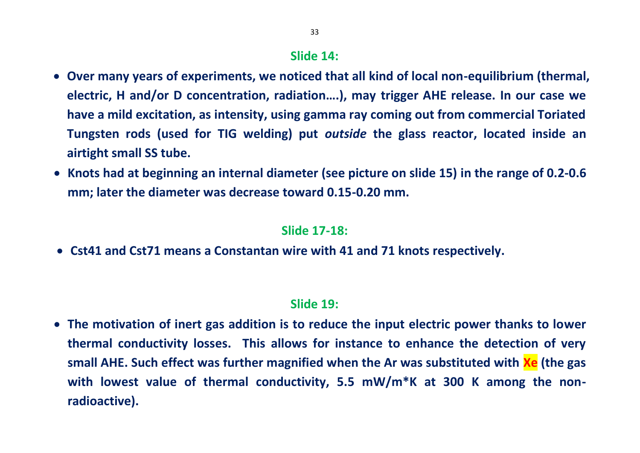## **Slide 14:**

- **Over many years of experiments, we noticed that all kind of local non-equilibrium (thermal, electric, H and/or D concentration, radiation….), may trigger AHE release. In our case we have a mild excitation, as intensity, using gamma ray coming out from commercial Toriated Tungsten rods (used for TIG welding) put** *outside* **the glass reactor, located inside an airtight small SS tube.**
- **Knots had at beginning an internal diameter (see picture on slide 15) in the range of 0.2-0.6 mm; later the diameter was decrease toward 0.15-0.20 mm.**

#### **Slide 17-18:**

**Cst41 and Cst71 means a Constantan wire with 41 and 71 knots respectively.**

### **Slide 19:**

 **The motivation of inert gas addition is to reduce the input electric power thanks to lower thermal conductivity losses. This allows for instance to enhance the detection of very small AHE. Such effect was further magnified when the Ar was substituted with Xe (the gas with lowest value of thermal conductivity, 5.5 mW/m\*K at 300 K among the nonradioactive).**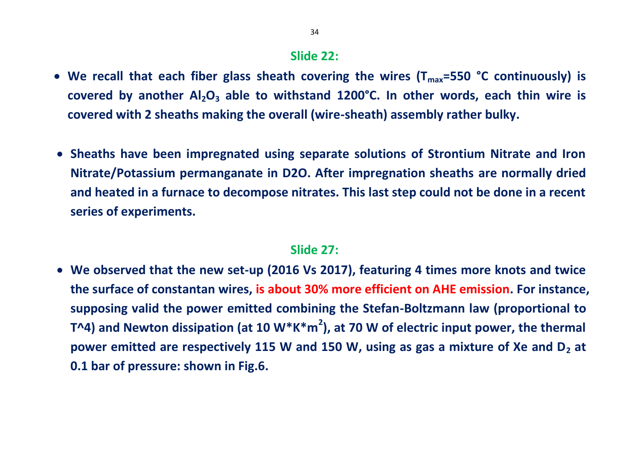#### **Slide 22:**

- We recall that each fiber glass sheath covering the wires (T<sub>max</sub>=550 °C continuously) is **covered by another Al2O<sup>3</sup> able to withstand 1200°C. In other words, each thin wire is covered with 2 sheaths making the overall (wire-sheath) assembly rather bulky.**
- **Sheaths have been impregnated using separate solutions of Strontium Nitrate and Iron Nitrate/Potassium permanganate in D2O. After impregnation sheaths are normally dried and heated in a furnace to decompose nitrates. This last step could not be done in a recent series of experiments.**

#### **Slide 27:**

 **We observed that the new set-up (2016 Vs 2017), featuring 4 times more knots and twice the surface of constantan wires, is about 30% more efficient on AHE emission. For instance, supposing valid the power emitted combining the Stefan-Boltzmann law (proportional to T^4) and Newton dissipation (at 10 W\*K\*m<sup>2</sup> ), at 70 W of electric input power, the thermal power emitted are respectively 115 W and 150 W, using as gas a mixture of Xe and D<sup>2</sup> at 0.1 bar of pressure: shown in Fig.6.**